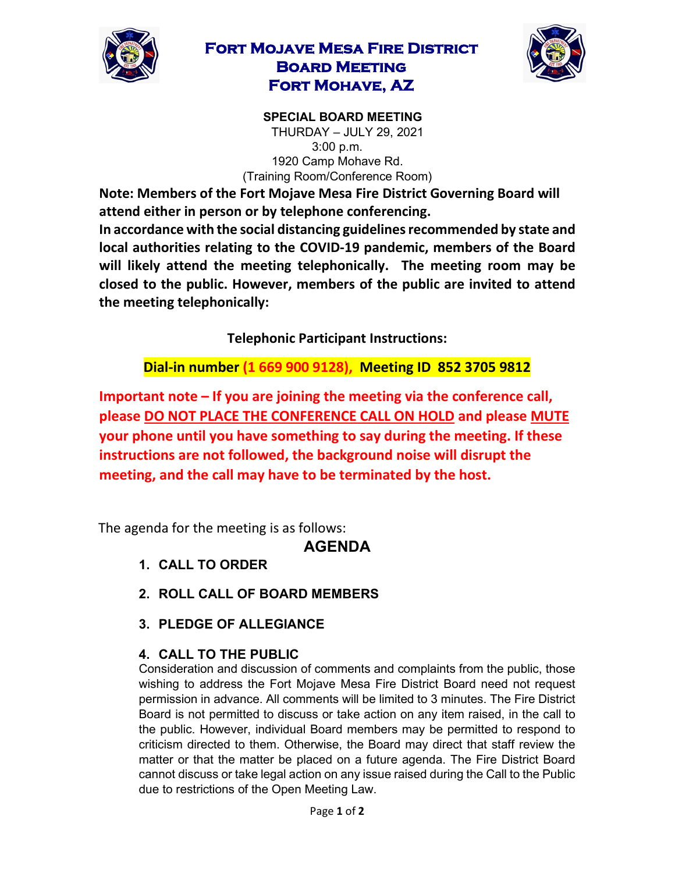

## **Fort Mojave Mesa Fire District Board Meeting Fort Mohave, AZ**



**SPECIAL BOARD MEETING**  THURDAY – JULY 29, 2021 3:00 p.m. 1920 Camp Mohave Rd. (Training Room/Conference Room)

**Note: Members of the Fort Mojave Mesa Fire District Governing Board will attend either in person or by telephone conferencing.** 

**In accordance with the social distancing guidelines recommended by state and local authorities relating to the COVID-19 pandemic, members of the Board will likely attend the meeting telephonically. The meeting room may be closed to the public. However, members of the public are invited to attend the meeting telephonically:** 

**Telephonic Participant Instructions:**

**Dial-in number (1 669 900 9128), Meeting ID 852 3705 9812** 

**Important note – If you are joining the meeting via the conference call, please DO NOT PLACE THE CONFERENCE CALL ON HOLD and please MUTE your phone until you have something to say during the meeting. If these instructions are not followed, the background noise will disrupt the meeting, and the call may have to be terminated by the host.**

The agenda for the meeting is as follows:

## **AGENDA**

- **1. CALL TO ORDER**
- **2. ROLL CALL OF BOARD MEMBERS**
- **3. PLEDGE OF ALLEGIANCE**

## **4. CALL TO THE PUBLIC**

Consideration and discussion of comments and complaints from the public, those wishing to address the Fort Mojave Mesa Fire District Board need not request permission in advance. All comments will be limited to 3 minutes. The Fire District Board is not permitted to discuss or take action on any item raised, in the call to the public. However, individual Board members may be permitted to respond to criticism directed to them. Otherwise, the Board may direct that staff review the matter or that the matter be placed on a future agenda. The Fire District Board cannot discuss or take legal action on any issue raised during the Call to the Public due to restrictions of the Open Meeting Law.